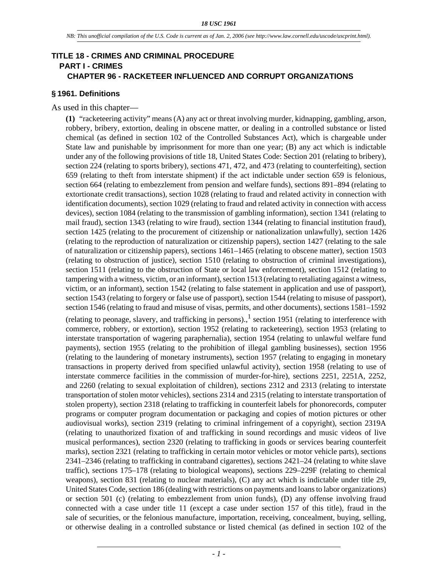### **TITLE 18 - CRIMES AND CRIMINAL PROCEDURE PART I - CRIMES CHAPTER 96 - RACKETEER INFLUENCED AND CORRUPT ORGANIZATIONS**

#### **§ 1961. Definitions**

As used in this chapter—

**(1)** "racketeering activity" means (A) any act or threat involving murder, kidnapping, gambling, arson, robbery, bribery, extortion, dealing in obscene matter, or dealing in a controlled substance or listed chemical (as defined in section 102 of the Controlled Substances Act), which is chargeable under State law and punishable by imprisonment for more than one year; (B) any act which is indictable under any of the following provisions of title 18, United States Code: Section 201 (relating to bribery), section 224 (relating to sports bribery), sections 471, 472, and 473 (relating to counterfeiting), section 659 (relating to theft from interstate shipment) if the act indictable under section 659 is felonious, section 664 (relating to embezzlement from pension and welfare funds), sections 891–894 (relating to extortionate credit transactions), section 1028 (relating to fraud and related activity in connection with identification documents), section 1029 (relating to fraud and related activity in connection with access devices), section 1084 (relating to the transmission of gambling information), section 1341 (relating to mail fraud), section 1343 (relating to wire fraud), section 1344 (relating to financial institution fraud), section 1425 (relating to the procurement of citizenship or nationalization unlawfully), section 1426 (relating to the reproduction of naturalization or citizenship papers), section 1427 (relating to the sale of naturalization or citizenship papers), sections 1461–1465 (relating to obscene matter), section 1503 (relating to obstruction of justice), section 1510 (relating to obstruction of criminal investigations), section 1511 (relating to the obstruction of State or local law enforcement), section 1512 (relating to tampering with a witness, victim, or an informant), section 1513 (relating to retaliating against a witness, victim, or an informant), section 1542 (relating to false statement in application and use of passport), section 1543 (relating to forgery or false use of passport), section 1544 (relating to misuse of passport), section 1546 (relating to fraud and misuse of visas, permits, and other documents), sections 1581–1592 (relating to peonage, slavery, and trafficking in persons).,<sup>1</sup> section 1951 (relating to interference with commerce, robbery, or extortion), section 1952 (relating to racketeering), section 1953 (relating to interstate transportation of wagering paraphernalia), section 1954 (relating to unlawful welfare fund payments), section 1955 (relating to the prohibition of illegal gambling businesses), section 1956 (relating to the laundering of monetary instruments), section 1957 (relating to engaging in monetary transactions in property derived from specified unlawful activity), section 1958 (relating to use of interstate commerce facilities in the commission of murder-for-hire), sections 2251, 2251A, 2252, and 2260 (relating to sexual exploitation of children), sections 2312 and 2313 (relating to interstate transportation of stolen motor vehicles), sections 2314 and 2315 (relating to interstate transportation of stolen property), section 2318 (relating to trafficking in counterfeit labels for phonorecords, computer programs or computer program documentation or packaging and copies of motion pictures or other audiovisual works), section 2319 (relating to criminal infringement of a copyright), section 2319A (relating to unauthorized fixation of and trafficking in sound recordings and music videos of live musical performances), section 2320 (relating to trafficking in goods or services bearing counterfeit marks), section 2321 (relating to trafficking in certain motor vehicles or motor vehicle parts), sections 2341–2346 (relating to trafficking in contraband cigarettes), sections 2421–24 (relating to white slave traffic), sections 175–178 (relating to biological weapons), sections 229–229F (relating to chemical weapons), section 831 (relating to nuclear materials), (C) any act which is indictable under title 29, United States Code, section 186 (dealing with restrictions on payments and loans to labor organizations) or section 501 (c) (relating to embezzlement from union funds), (D) any offense involving fraud connected with a case under title 11 (except a case under section 157 of this title), fraud in the sale of securities, or the felonious manufacture, importation, receiving, concealment, buying, selling, or otherwise dealing in a controlled substance or listed chemical (as defined in section 102 of the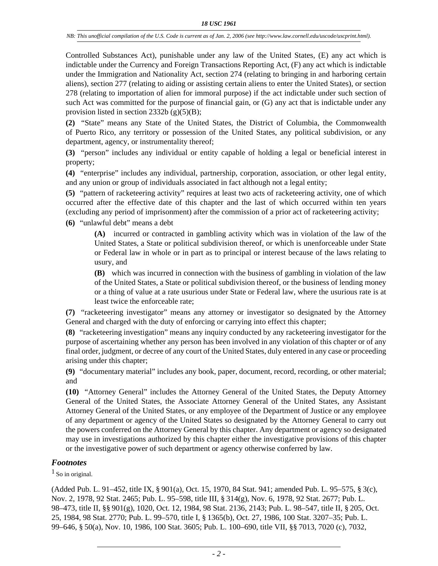Controlled Substances Act), punishable under any law of the United States, (E) any act which is indictable under the Currency and Foreign Transactions Reporting Act, (F) any act which is indictable under the Immigration and Nationality Act, section 274 (relating to bringing in and harboring certain aliens), section 277 (relating to aiding or assisting certain aliens to enter the United States), or section 278 (relating to importation of alien for immoral purpose) if the act indictable under such section of such Act was committed for the purpose of financial gain, or (G) any act that is indictable under any provision listed in section 2332b  $(g)(5)(B)$ ;

**(2)** "State" means any State of the United States, the District of Columbia, the Commonwealth of Puerto Rico, any territory or possession of the United States, any political subdivision, or any department, agency, or instrumentality thereof;

**(3)** "person" includes any individual or entity capable of holding a legal or beneficial interest in property;

**(4)** "enterprise" includes any individual, partnership, corporation, association, or other legal entity, and any union or group of individuals associated in fact although not a legal entity;

**(5)** "pattern of racketeering activity" requires at least two acts of racketeering activity, one of which occurred after the effective date of this chapter and the last of which occurred within ten years (excluding any period of imprisonment) after the commission of a prior act of racketeering activity;

**(6)** "unlawful debt" means a debt

**(A)** incurred or contracted in gambling activity which was in violation of the law of the United States, a State or political subdivision thereof, or which is unenforceable under State or Federal law in whole or in part as to principal or interest because of the laws relating to usury, and

**(B)** which was incurred in connection with the business of gambling in violation of the law of the United States, a State or political subdivision thereof, or the business of lending money or a thing of value at a rate usurious under State or Federal law, where the usurious rate is at least twice the enforceable rate;

**(7)** "racketeering investigator" means any attorney or investigator so designated by the Attorney General and charged with the duty of enforcing or carrying into effect this chapter;

**(8)** "racketeering investigation" means any inquiry conducted by any racketeering investigator for the purpose of ascertaining whether any person has been involved in any violation of this chapter or of any final order, judgment, or decree of any court of the United States, duly entered in any case or proceeding arising under this chapter;

**(9)** "documentary material" includes any book, paper, document, record, recording, or other material; and

**(10)** "Attorney General" includes the Attorney General of the United States, the Deputy Attorney General of the United States, the Associate Attorney General of the United States, any Assistant Attorney General of the United States, or any employee of the Department of Justice or any employee of any department or agency of the United States so designated by the Attorney General to carry out the powers conferred on the Attorney General by this chapter. Any department or agency so designated may use in investigations authorized by this chapter either the investigative provisions of this chapter or the investigative power of such department or agency otherwise conferred by law.

## *Footnotes*

<sup>1</sup> So in original.

(Added Pub. L. 91–452, title IX, § 901(a), Oct. 15, 1970, 84 Stat. 941; amended Pub. L. 95–575, § 3(c), Nov. 2, 1978, 92 Stat. 2465; Pub. L. 95–598, title III, § 314(g), Nov. 6, 1978, 92 Stat. 2677; Pub. L. 98–473, title II, §§ 901(g), 1020, Oct. 12, 1984, 98 Stat. 2136, 2143; Pub. L. 98–547, title II, § 205, Oct. 25, 1984, 98 Stat. 2770; Pub. L. 99–570, title I, § 1365(b), Oct. 27, 1986, 100 Stat. 3207–35; Pub. L. 99–646, § 50(a), Nov. 10, 1986, 100 Stat. 3605; Pub. L. 100–690, title VII, §§ 7013, 7020 (c), 7032,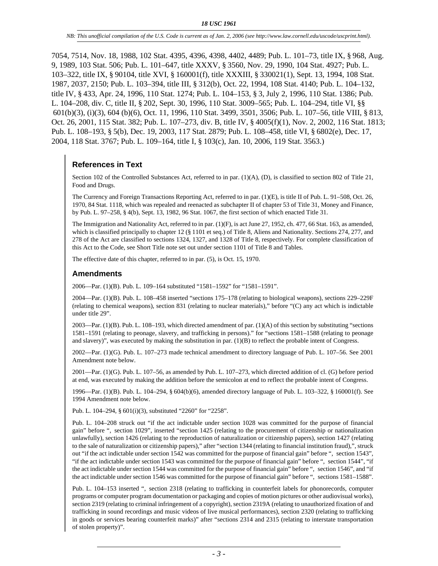7054, 7514, Nov. 18, 1988, 102 Stat. 4395, 4396, 4398, 4402, 4489; Pub. L. 101–73, title IX, § 968, Aug. 9, 1989, 103 Stat. 506; Pub. L. 101–647, title XXXV, § 3560, Nov. 29, 1990, 104 Stat. 4927; Pub. L. 103–322, title IX, § 90104, title XVI, § 160001(f), title XXXIII, § 330021(1), Sept. 13, 1994, 108 Stat. 1987, 2037, 2150; Pub. L. 103–394, title III, § 312(b), Oct. 22, 1994, 108 Stat. 4140; Pub. L. 104–132, title IV, § 433, Apr. 24, 1996, 110 Stat. 1274; Pub. L. 104–153, § 3, July 2, 1996, 110 Stat. 1386; Pub. L. 104–208, div. C, title II, § 202, Sept. 30, 1996, 110 Stat. 3009–565; Pub. L. 104–294, title VI, §§ 601(b)(3), (i)(3), 604 (b)(6), Oct. 11, 1996, 110 Stat. 3499, 3501, 3506; Pub. L. 107–56, title VIII, § 813, Oct. 26, 2001, 115 Stat. 382; Pub. L. 107–273, div. B, title IV, § 4005(f)(1), Nov. 2, 2002, 116 Stat. 1813; Pub. L. 108–193, § 5(b), Dec. 19, 2003, 117 Stat. 2879; Pub. L. 108–458, title VI, § 6802(e), Dec. 17, 2004, 118 Stat. 3767; Pub. L. 109–164, title I, § 103(c), Jan. 10, 2006, 119 Stat. 3563.)

# **References in Text**

Section 102 of the Controlled Substances Act, referred to in par. (1)(A), (D), is classified to section 802 of Title 21, Food and Drugs.

The Currency and Foreign Transactions Reporting Act, referred to in par. (1)(E), is title II of Pub. L. 91–508, Oct. 26, 1970, 84 Stat. 1118, which was repealed and reenacted as subchapter II of chapter 53 of Title 31, Money and Finance, by Pub. L. 97–258, § 4(b), Sept. 13, 1982, 96 Stat. 1067, the first section of which enacted Title 31.

The Immigration and Nationality Act, referred to in par. (1)(F), is act June 27, 1952, ch. 477, 66 Stat. 163, as amended, which is classified principally to chapter 12 (§ 1101 et seq.) of Title 8, Aliens and Nationality. Sections 274, 277, and 278 of the Act are classified to sections 1324, 1327, and 1328 of Title 8, respectively. For complete classification of this Act to the Code, see Short Title note set out under section 1101 of Title 8 and Tables.

The effective date of this chapter, referred to in par. (5), is Oct. 15, 1970.

## **Amendments**

2006—Par. (1)(B). Pub. L. 109–164 substituted "1581–1592" for "1581–1591".

2004—Par. (1)(B). Pub. L. 108–458 inserted "sections 175–178 (relating to biological weapons), sections 229–229F (relating to chemical weapons), section 831 (relating to nuclear materials)," before "(C) any act which is indictable under title 29".

2003—Par. (1)(B). Pub. L. 108–193, which directed amendment of par. (1)(A) of this section by substituting "sections 1581–1591 (relating to peonage, slavery, and trafficking in persons)." for "sections 1581–1588 (relating to peonage and slavery)", was executed by making the substitution in par. (1)(B) to reflect the probable intent of Congress.

2002—Par. (1)(G). Pub. L. 107–273 made technical amendment to directory language of Pub. L. 107–56. See 2001 Amendment note below.

2001—Par. (1)(G). Pub. L. 107–56, as amended by Pub. L. 107–273, which directed addition of cl. (G) before period at end, was executed by making the addition before the semicolon at end to reflect the probable intent of Congress.

1996—Par. (1)(B). Pub. L. 104–294, § 604(b)(6), amended directory language of Pub. L. 103–322, § 160001(f). See 1994 Amendment note below.

Pub. L. 104–294, § 601(i)(3), substituted "2260" for "2258".

Pub. L. 104–208 struck out "if the act indictable under section 1028 was committed for the purpose of financial gain" before ", section 1029", inserted "section 1425 (relating to the procurement of citizenship or nationalization unlawfully), section 1426 (relating to the reproduction of naturalization or citizenship papers), section 1427 (relating to the sale of naturalization or citizenship papers)," after "section 1344 (relating to financial institution fraud),", struck out "if the act indictable under section 1542 was committed for the purpose of financial gain" before ", section 1543", "if the act indictable under section 1543 was committed for the purpose of financial gain" before ", section 1544", "if the act indictable under section 1544 was committed for the purpose of financial gain" before ", section 1546", and "if the act indictable under section 1546 was committed for the purpose of financial gain" before ", sections 1581–1588".

Pub. L. 104–153 inserted ", section 2318 (relating to trafficking in counterfeit labels for phonorecords, computer programs or computer program documentation or packaging and copies of motion pictures or other audiovisual works), section 2319 (relating to criminal infringement of a copyright), section 2319A (relating to unauthorized fixation of and trafficking in sound recordings and music videos of live musical performances), section 2320 (relating to trafficking in goods or services bearing counterfeit marks)" after "sections 2314 and 2315 (relating to interstate transportation of stolen property)".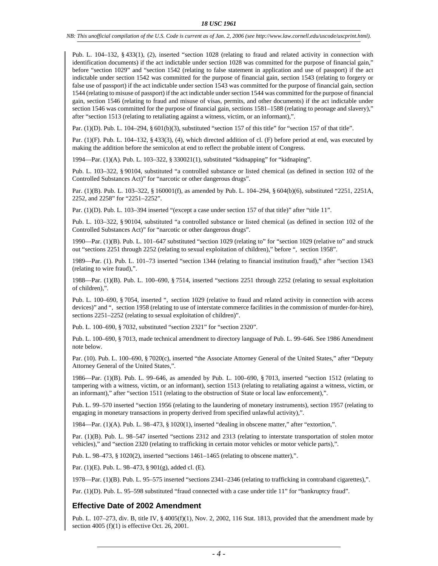Pub. L. 104–132, § 433(1), (2), inserted "section 1028 (relating to fraud and related activity in connection with identification documents) if the act indictable under section 1028 was committed for the purpose of financial gain," before "section 1029" and "section 1542 (relating to false statement in application and use of passport) if the act indictable under section 1542 was committed for the purpose of financial gain, section 1543 (relating to forgery or false use of passport) if the act indictable under section 1543 was committed for the purpose of financial gain, section 1544 (relating to misuse of passport) if the act indictable under section 1544 was committed for the purpose of financial gain, section 1546 (relating to fraud and misuse of visas, permits, and other documents) if the act indictable under section 1546 was committed for the purpose of financial gain, sections 1581–1588 (relating to peonage and slavery)," after "section 1513 (relating to retaliating against a witness, victim, or an informant),".

Par. (1)(D). Pub. L. 104–294, § 601(b)(3), substituted "section 157 of this title" for "section 157 of that title".

Par. (1)(F). Pub. L. 104–132, § 433(3), (4), which directed addition of cl. (F) before period at end, was executed by making the addition before the semicolon at end to reflect the probable intent of Congress.

1994—Par. (1)(A). Pub. L. 103–322, § 330021(1), substituted "kidnapping" for "kidnaping".

Pub. L. 103–322, § 90104, substituted "a controlled substance or listed chemical (as defined in section 102 of the Controlled Substances Act)" for "narcotic or other dangerous drugs".

Par. (1)(B). Pub. L. 103–322, § 160001(f), as amended by Pub. L. 104–294, § 604(b)(6), substituted "2251, 2251A, 2252, and 2258" for "2251–2252".

Par. (1)(D). Pub. L. 103–394 inserted "(except a case under section 157 of that title)" after "title 11".

Pub. L. 103–322, § 90104, substituted "a controlled substance or listed chemical (as defined in section 102 of the Controlled Substances Act)" for "narcotic or other dangerous drugs".

1990—Par. (1)(B). Pub. L. 101–647 substituted "section 1029 (relating to" for "section 1029 (relative to" and struck out "sections 2251 through 2252 (relating to sexual exploitation of children)," before ", section 1958".

1989—Par. (1). Pub. L. 101–73 inserted "section 1344 (relating to financial institution fraud)," after "section 1343 (relating to wire fraud),".

1988—Par. (1)(B). Pub. L. 100–690, § 7514, inserted "sections 2251 through 2252 (relating to sexual exploitation of children),".

Pub. L. 100–690, § 7054, inserted ", section 1029 (relative to fraud and related activity in connection with access devices)" and ", section 1958 (relating to use of interstate commerce facilities in the commission of murder-for-hire), sections  $2251-2252$  (relating to sexual exploitation of children)".

Pub. L. 100–690, § 7032, substituted "section 2321" for "section 2320".

Pub. L. 100–690, § 7013, made technical amendment to directory language of Pub. L. 99–646. See 1986 Amendment note below.

Par. (10). Pub. L. 100–690, § 7020(c), inserted "the Associate Attorney General of the United States," after "Deputy Attorney General of the United States,".

1986—Par. (1)(B). Pub. L. 99–646, as amended by Pub. L. 100–690, § 7013, inserted "section 1512 (relating to tampering with a witness, victim, or an informant), section 1513 (relating to retaliating against a witness, victim, or an informant)," after "section 1511 (relating to the obstruction of State or local law enforcement),".

Pub. L. 99–570 inserted "section 1956 (relating to the laundering of monetary instruments), section 1957 (relating to engaging in monetary transactions in property derived from specified unlawful activity),".

1984—Par. (1)(A). Pub. L. 98–473, § 1020(1), inserted "dealing in obscene matter," after "extortion,".

Par. (1)(B). Pub. L. 98–547 inserted "sections 2312 and 2313 (relating to interstate transportation of stolen motor vehicles)," and "section 2320 (relating to trafficking in certain motor vehicles or motor vehicle parts),".

Pub. L. 98–473, § 1020(2), inserted "sections 1461–1465 (relating to obscene matter),".

Par. (1)(E). Pub. L. 98–473, § 901(g), added cl. (E).

1978—Par. (1)(B). Pub. L. 95–575 inserted "sections 2341–2346 (relating to trafficking in contraband cigarettes),".

Par. (1)(D). Pub. L. 95-598 substituted "fraud connected with a case under title 11" for "bankruptcy fraud".

#### **Effective Date of 2002 Amendment**

Pub. L. 107–273, div. B, title IV, § 4005(f)(1), Nov. 2, 2002, 116 Stat. 1813, provided that the amendment made by section 4005 (f)(1) is effective Oct. 26, 2001.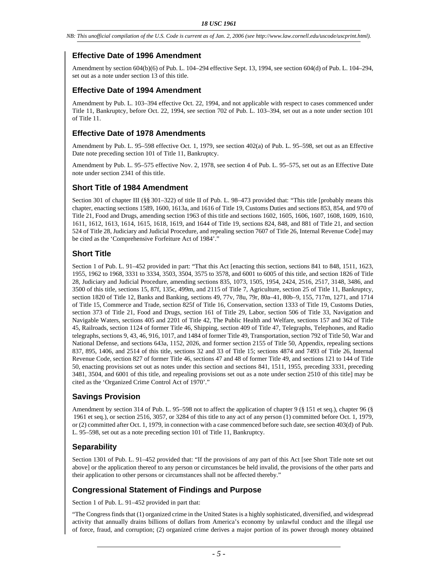# **Effective Date of 1996 Amendment**

Amendment by section 604(b)(6) of Pub. L. 104–294 effective Sept. 13, 1994, see section 604(d) of Pub. L. 104–294, set out as a note under section 13 of this title.

# **Effective Date of 1994 Amendment**

Amendment by Pub. L. 103–394 effective Oct. 22, 1994, and not applicable with respect to cases commenced under Title 11, Bankruptcy, before Oct. 22, 1994, see section 702 of Pub. L. 103–394, set out as a note under section 101 of Title 11.

# **Effective Date of 1978 Amendments**

Amendment by Pub. L. 95–598 effective Oct. 1, 1979, see section 402(a) of Pub. L. 95–598, set out as an Effective Date note preceding section 101 of Title 11, Bankruptcy.

Amendment by Pub. L. 95–575 effective Nov. 2, 1978, see section 4 of Pub. L. 95–575, set out as an Effective Date note under section 2341 of this title.

### **Short Title of 1984 Amendment**

Section 301 of chapter III (§§ 301–322) of title II of Pub. L. 98–473 provided that: "This title [probably means this chapter, enacting sections 1589, 1600, 1613a, and 1616 of Title 19, Customs Duties and sections 853, 854, and 970 of Title 21, Food and Drugs, amending section 1963 of this title and sections 1602, 1605, 1606, 1607, 1608, 1609, 1610, 1611, 1612, 1613, 1614, 1615, 1618, 1619, and 1644 of Title 19, sections 824, 848, and 881 of Title 21, and section 524 of Title 28, Judiciary and Judicial Procedure, and repealing section 7607 of Title 26, Internal Revenue Code] may be cited as the 'Comprehensive Forfeiture Act of 1984'."

# **Short Title**

Section 1 of Pub. L. 91–452 provided in part: "That this Act [enacting this section, sections 841 to 848, 1511, 1623, 1955, 1962 to 1968, 3331 to 3334, 3503, 3504, 3575 to 3578, and 6001 to 6005 of this title, and section 1826 of Title 28, Judiciary and Judicial Procedure, amending sections 835, 1073, 1505, 1954, 2424, 2516, 2517, 3148, 3486, and 3500 of this title, sections 15, 87f, 135c, 499m, and 2115 of Title 7, Agriculture, section 25 of Title 11, Bankruptcy, section 1820 of Title 12, Banks and Banking, sections 49, 77v, 78u, 79r, 80a–41, 80b–9, 155, 717m, 1271, and 1714 of Title 15, Commerce and Trade, section 825f of Title 16, Conservation, section 1333 of Title 19, Customs Duties, section 373 of Title 21, Food and Drugs, section 161 of Title 29, Labor, section 506 of Title 33, Navigation and Navigable Waters, sections 405 and 2201 of Title 42, The Public Health and Welfare, sections 157 and 362 of Title 45, Railroads, section 1124 of former Title 46, Shipping, section 409 of Title 47, Telegraphs, Telephones, and Radio telegraphs, sections 9, 43, 46, 916, 1017, and 1484 of former Title 49, Transportation, section 792 of Title 50, War and National Defense, and sections 643a, 1152, 2026, and former section 2155 of Title 50, Appendix, repealing sections 837, 895, 1406, and 2514 of this title, sections 32 and 33 of Title 15; sections 4874 and 7493 of Title 26, Internal Revenue Code, section 827 of former Title 46, sections 47 and 48 of former Title 49, and sections 121 to 144 of Title 50, enacting provisions set out as notes under this section and sections 841, 1511, 1955, preceding 3331, preceding 3481, 3504, and 6001 of this title, and repealing provisions set out as a note under section 2510 of this title] may be cited as the 'Organized Crime Control Act of 1970'."

# **Savings Provision**

Amendment by section 314 of Pub. L. 95–598 not to affect the application of chapter 9 (§ 151 et seq.), chapter 96 (§ 1961 et seq.), or section 2516, 3057, or 3284 of this title to any act of any person (1) committed before Oct. 1, 1979, or (2) committed after Oct. 1, 1979, in connection with a case commenced before such date, see section 403(d) of Pub. L. 95–598, set out as a note preceding section 101 of Title 11, Bankruptcy.

# **Separability**

Section 1301 of Pub. L. 91–452 provided that: "If the provisions of any part of this Act [see Short Title note set out above] or the application thereof to any person or circumstances be held invalid, the provisions of the other parts and their application to other persons or circumstances shall not be affected thereby."

# **Congressional Statement of Findings and Purpose**

Section 1 of Pub. L. 91–452 provided in part that:

"The Congress finds that (1) organized crime in the United States is a highly sophisticated, diversified, and widespread activity that annually drains billions of dollars from America's economy by unlawful conduct and the illegal use of force, fraud, and corruption; (2) organized crime derives a major portion of its power through money obtained